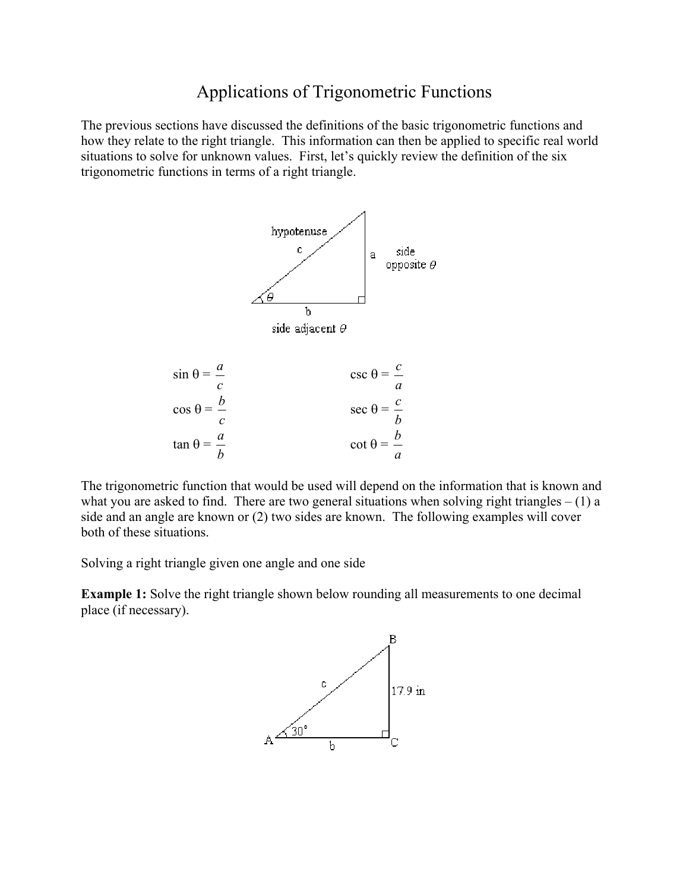# Applications of Trigonometric Functions

The previous sections have discussed the definitions of the basic trigonometric functions and how they relate to the right triangle. This information can then be applied to specific real world situations to solve for unknown values. First, let's quickly review the definition of the six trigonometric functions in terms of a right triangle.



The trigonometric function that would be used will depend on the information that is known and what you are asked to find. There are two general situations when solving right triangles  $- (1)$  a side and an angle are known or (2) two sides are known. The following examples will cover both of these situations.

Solving a right triangle given one angle and one side

**Example 1:** Solve the right triangle shown below rounding all measurements to one decimal place (if necessary).

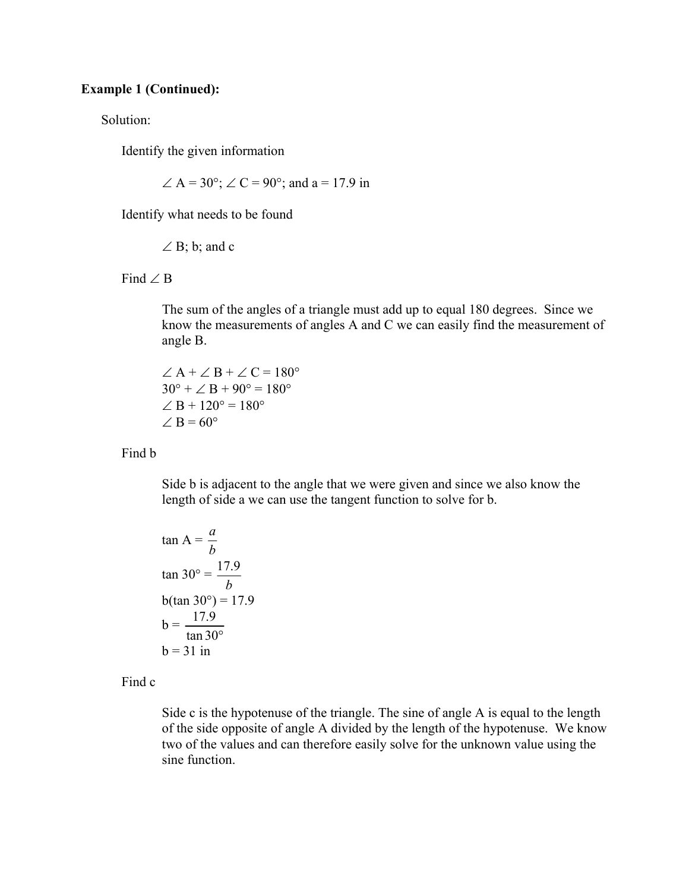#### **Example 1 (Continued):**

Solution:

Identify the given information

 $\angle A = 30^{\circ}$ ;  $\angle C = 90^{\circ}$ ; and a = 17.9 in

Identify what needs to be found

 $\angle$  B; b; and c

Find ∠ B

 The sum of the angles of a triangle must add up to equal 180 degrees. Since we know the measurements of angles A and C we can easily find the measurement of angle B.

 $\angle A + \angle B + \angle C = 180^{\circ}$  $30^{\circ} + \angle B + 90^{\circ} = 180^{\circ}$  $\angle B + 120^{\circ} = 180^{\circ}$  $\angle B = 60^\circ$ 

#### Find b

 Side b is adjacent to the angle that we were given and since we also know the length of side a we can use the tangent function to solve for b.

$$
\tan A = \frac{a}{b}
$$
  
\n
$$
\tan 30^\circ = \frac{17.9}{b}
$$
  
\n
$$
b(\tan 30^\circ) = 17.9
$$
  
\n
$$
b = \frac{17.9}{\tan 30^\circ}
$$
  
\n
$$
b = 31 \text{ in}
$$

Find c

 Side c is the hypotenuse of the triangle. The sine of angle A is equal to the length of the side opposite of angle A divided by the length of the hypotenuse. We know two of the values and can therefore easily solve for the unknown value using the sine function.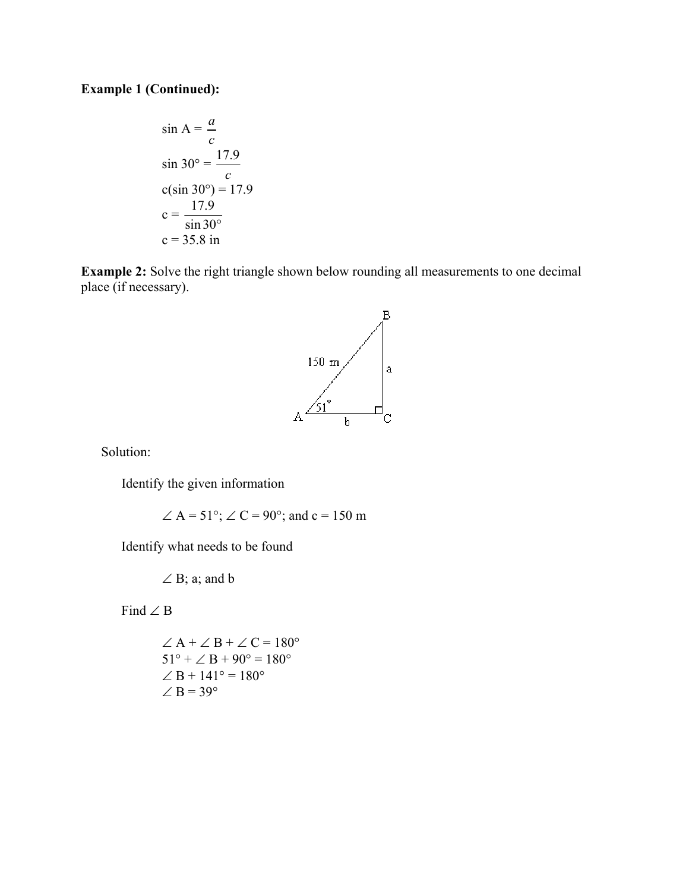## **Example 1 (Continued):**

$$
\sin A = \frac{a}{c}
$$
  
\n
$$
\sin 30^\circ = \frac{17.9}{c}
$$
  
\n
$$
c(\sin 30^\circ) = 17.9
$$
  
\n
$$
c = \frac{17.9}{\sin 30^\circ}
$$
  
\n
$$
c = 35.8 \text{ in}
$$

**Example 2:** Solve the right triangle shown below rounding all measurements to one decimal place (if necessary).



Solution:

Identify the given information

 $\angle A = 51^{\circ}$ ;  $\angle C = 90^{\circ}$ ; and c = 150 m

Identify what needs to be found

 $\angle$  B; a; and b

Find ∠ B

$$
\angle A + \angle B + \angle C = 180^{\circ}
$$
  
\n
$$
51^{\circ} + \angle B + 90^{\circ} = 180^{\circ}
$$
  
\n
$$
\angle B + 141^{\circ} = 180^{\circ}
$$
  
\n
$$
\angle B = 39^{\circ}
$$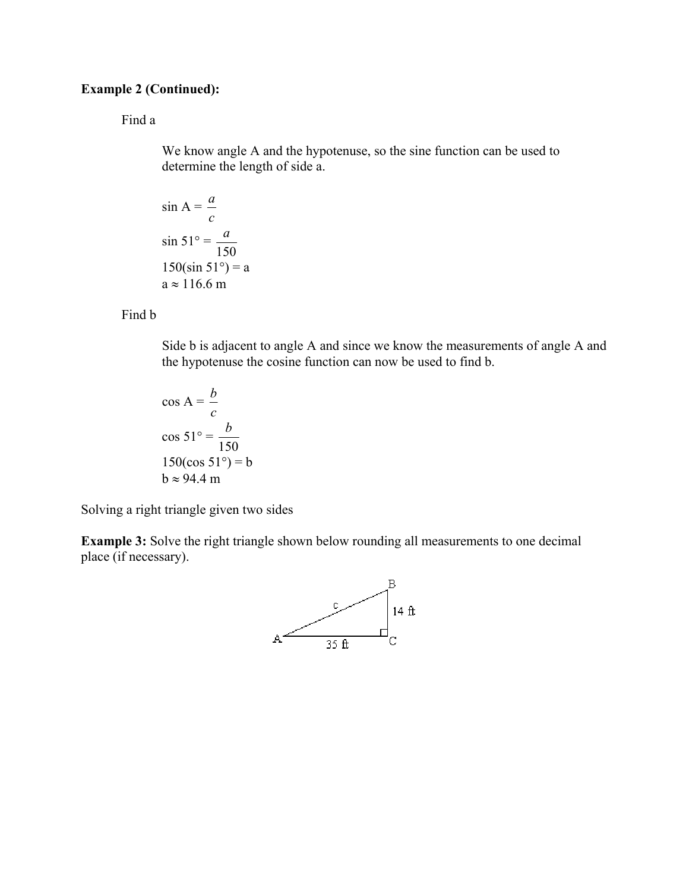## **Example 2 (Continued):**

## Find a

 We know angle A and the hypotenuse, so the sine function can be used to determine the length of side a.

$$
\sin A = \frac{a}{c}
$$
  

$$
\sin 51^\circ = \frac{a}{150}
$$
  

$$
150(\sin 51^\circ) = a
$$
  

$$
a \approx 116.6 \text{ m}
$$

Find b

 Side b is adjacent to angle A and since we know the measurements of angle A and the hypotenuse the cosine function can now be used to find b.

$$
\cos A = \frac{b}{c}
$$
  

$$
\cos 51^\circ = \frac{b}{150}
$$
  

$$
150(\cos 51^\circ) = b
$$
  

$$
b \approx 94.4 \text{ m}
$$

Solving a right triangle given two sides

**Example 3:** Solve the right triangle shown below rounding all measurements to one decimal place (if necessary).

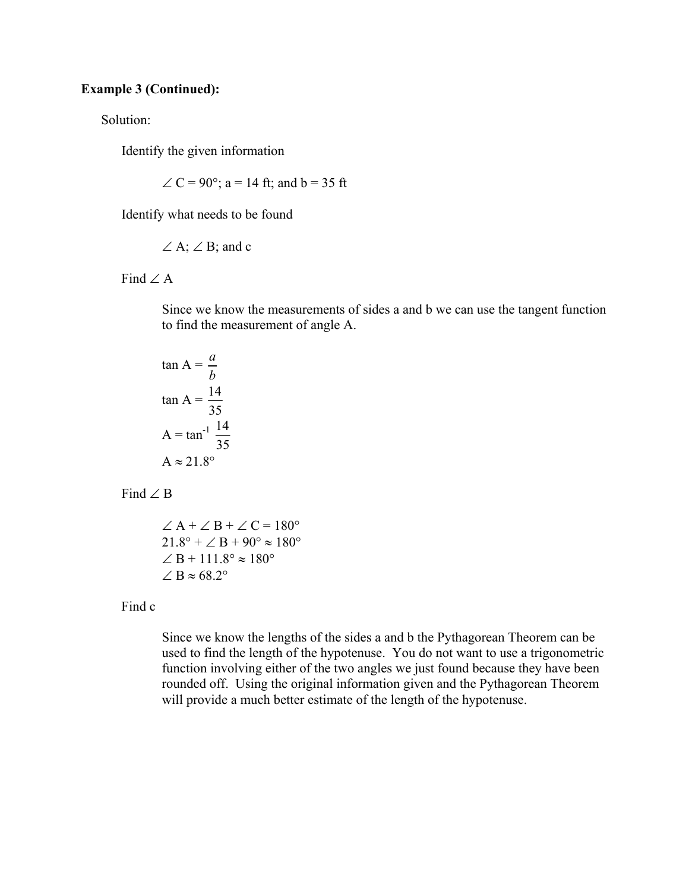#### **Example 3 (Continued):**

Solution:

Identify the given information

 $\angle C = 90^{\circ}$ ; a = 14 ft; and b = 35 ft

Identify what needs to be found

$$
\angle A; \angle B; \text{ and } c
$$

Find  $\angle A$ 

 Since we know the measurements of sides a and b we can use the tangent function to find the measurement of angle A.

$$
\tan A = \frac{a}{b}
$$

$$
\tan A = \frac{14}{35}
$$

$$
A = \tan^{-1} \frac{14}{35}
$$

$$
A \approx 21.8^{\circ}
$$

Find  $\angle$  B

 $\angle A + \angle B + \angle C = 180^{\circ}$  $21.8^{\circ} + \angle B + 90^{\circ} \approx 180^{\circ}$  $∠ B + 111.8° \approx 180°$  $\angle B \approx 68.2^\circ$ 

#### Find c

 Since we know the lengths of the sides a and b the Pythagorean Theorem can be used to find the length of the hypotenuse. You do not want to use a trigonometric function involving either of the two angles we just found because they have been rounded off. Using the original information given and the Pythagorean Theorem will provide a much better estimate of the length of the hypotenuse.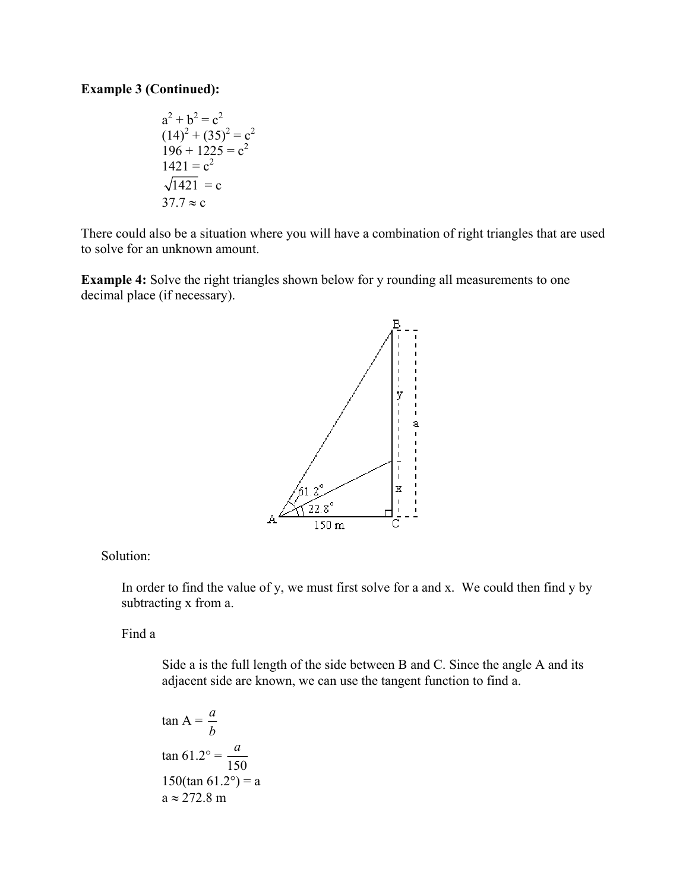## **Example 3 (Continued):**

$$
a^{2} + b^{2} = c^{2}
$$
  
(14)<sup>2</sup> + (35)<sup>2</sup> = c<sup>2</sup>  
196 + 1225 = c<sup>2</sup>  
1421 = c<sup>2</sup>  
 $\sqrt{1421} = c$   
37.7  $\approx$  c

There could also be a situation where you will have a combination of right triangles that are used to solve for an unknown amount.

**Example 4:** Solve the right triangles shown below for y rounding all measurements to one decimal place (if necessary).



#### Solution:

 In order to find the value of y, we must first solve for a and x. We could then find y by subtracting x from a.

Find a

 Side a is the full length of the side between B and C. Since the angle A and its adjacent side are known, we can use the tangent function to find a.

$$
\tan A = \frac{a}{b}
$$
  

$$
\tan 61.2^\circ = \frac{a}{150}
$$
  

$$
150(\tan 61.2^\circ) = a
$$
  

$$
a \approx 272.8 \text{ m}
$$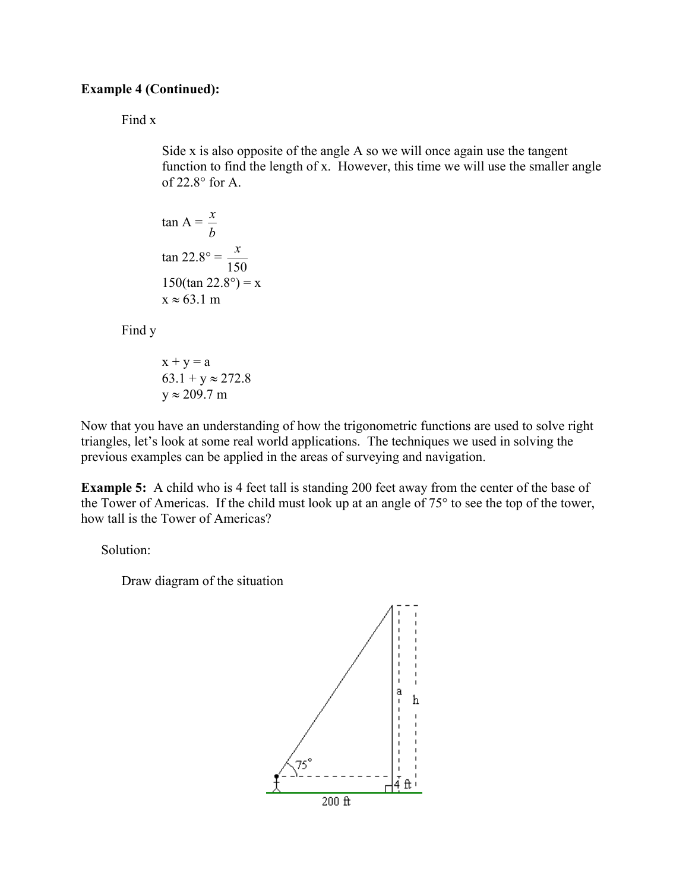## **Example 4 (Continued):**

#### Find x

 Side x is also opposite of the angle A so we will once again use the tangent function to find the length of x. However, this time we will use the smaller angle of 22.8° for A.

$$
\tan A = \frac{x}{b}
$$
  

$$
\tan 22.8^\circ = \frac{x}{150}
$$
  

$$
150(\tan 22.8^\circ) = x
$$
  

$$
x \approx 63.1 \text{ m}
$$

Find y

$$
x + y = a
$$
  
63.1 + y \approx 272.8  

$$
y \approx 209.7 \text{ m}
$$

Now that you have an understanding of how the trigonometric functions are used to solve right triangles, let's look at some real world applications. The techniques we used in solving the previous examples can be applied in the areas of surveying and navigation.

**Example 5:** A child who is 4 feet tall is standing 200 feet away from the center of the base of the Tower of Americas. If the child must look up at an angle of 75° to see the top of the tower, how tall is the Tower of Americas?

Solution:

Draw diagram of the situation

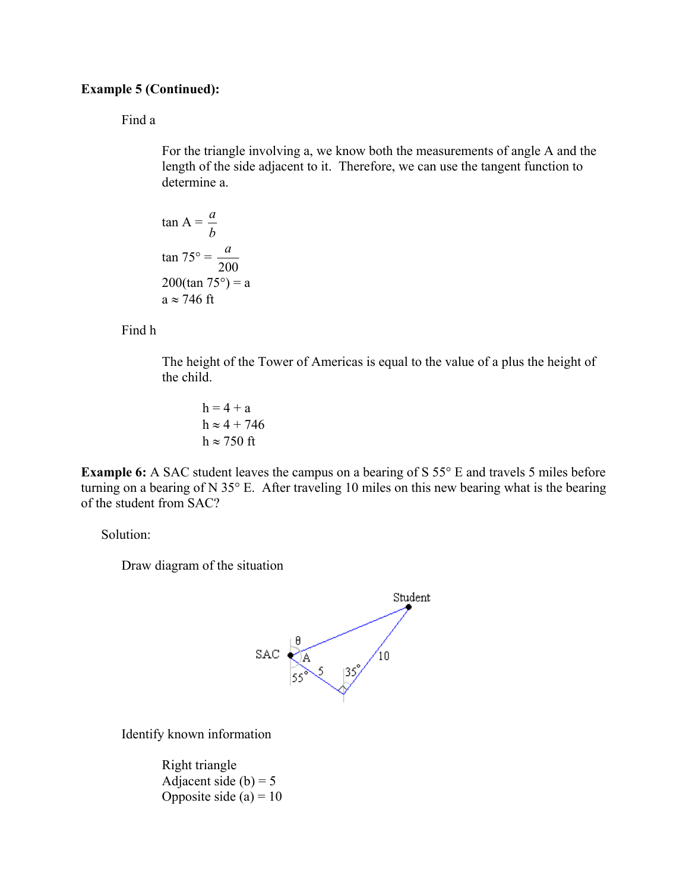## **Example 5 (Continued):**

#### Find a

 For the triangle involving a, we know both the measurements of angle A and the length of the side adjacent to it. Therefore, we can use the tangent function to determine a.

$$
\tan A = \frac{a}{b}
$$

$$
\tan 75^\circ = \frac{a}{200}
$$

$$
200(\tan 75^\circ) = a
$$

$$
a \approx 746 \text{ ft}
$$

#### Find h

 The height of the Tower of Americas is equal to the value of a plus the height of the child.

 $h = 4 + a$  $h \approx 4 + 746$  $h \approx 750$  ft

**Example 6:** A SAC student leaves the campus on a bearing of S 55° E and travels 5 miles before turning on a bearing of N 35° E. After traveling 10 miles on this new bearing what is the bearing of the student from SAC?

Solution:

Draw diagram of the situation



Identify known information

 Right triangle Adjacent side  $(b) = 5$ Opposite side  $(a) = 10$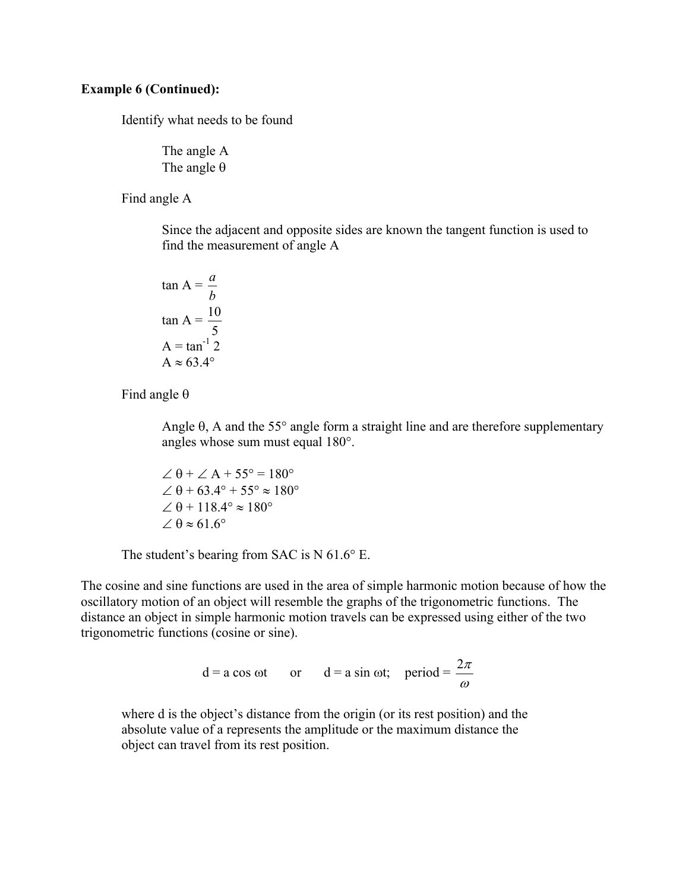#### **Example 6 (Continued):**

Identify what needs to be found

 The angle A The angle  $\theta$ 

Find angle A

 Since the adjacent and opposite sides are known the tangent function is used to find the measurement of angle A

$$
\tan A = \frac{a}{b}
$$

$$
\tan A = \frac{10}{5}
$$

$$
A = \tan^{-1} 2
$$

$$
A \approx 63.4^{\circ}
$$

Find angle  $\theta$ 

Angle  $\theta$ , A and the 55 $\degree$  angle form a straight line and are therefore supplementary angles whose sum must equal 180°.

$$
\angle \theta + \angle A + 55^{\circ} = 180^{\circ}
$$
  
\n
$$
\angle \theta + 63.4^{\circ} + 55^{\circ} \approx 180^{\circ}
$$
  
\n
$$
\angle \theta + 118.4^{\circ} \approx 180^{\circ}
$$
  
\n
$$
\angle \theta \approx 61.6^{\circ}
$$

The student's bearing from SAC is N 61.6° E.

The cosine and sine functions are used in the area of simple harmonic motion because of how the oscillatory motion of an object will resemble the graphs of the trigonometric functions. The distance an object in simple harmonic motion travels can be expressed using either of the two trigonometric functions (cosine or sine).

$$
d = a \cos \omega t
$$
 or  $d = a \sin \omega t$ ; period =  $\frac{2\pi}{\omega}$ 

 where d is the object's distance from the origin (or its rest position) and the absolute value of a represents the amplitude or the maximum distance the object can travel from its rest position.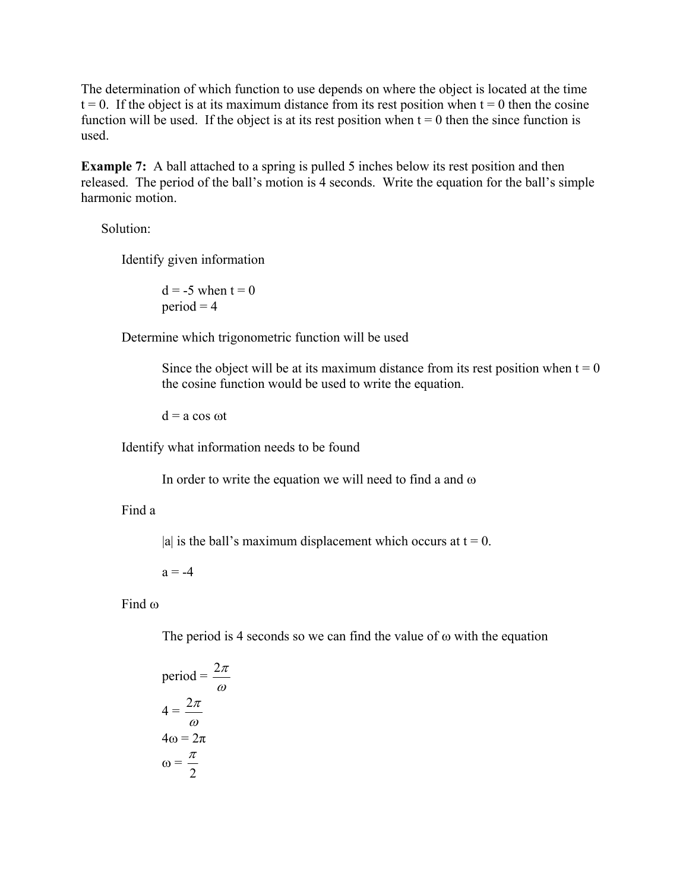The determination of which function to use depends on where the object is located at the time  $t = 0$ . If the object is at its maximum distance from its rest position when  $t = 0$  then the cosine function will be used. If the object is at its rest position when  $t = 0$  then the since function is used.

**Example 7:** A ball attached to a spring is pulled 5 inches below its rest position and then released. The period of the ball's motion is 4 seconds. Write the equation for the ball's simple harmonic motion.

Solution:

Identify given information

 $d = -5$  when  $t = 0$  $period = 4$ 

Determine which trigonometric function will be used

Since the object will be at its maximum distance from its rest position when  $t = 0$ the cosine function would be used to write the equation.

 $d = a cos \omega t$ 

Identify what information needs to be found

In order to write the equation we will need to find a and  $\omega$ 

#### Find a

|a| is the ball's maximum displacement which occurs at  $t = 0$ .

 $a = -4$ 

Find ω

The period is 4 seconds so we can find the value of  $\omega$  with the equation

$$
period = \frac{2\pi}{\omega}
$$

$$
4 = \frac{2\pi}{\omega}
$$

$$
4\omega = 2\pi
$$

$$
\omega = \frac{\pi}{2}
$$